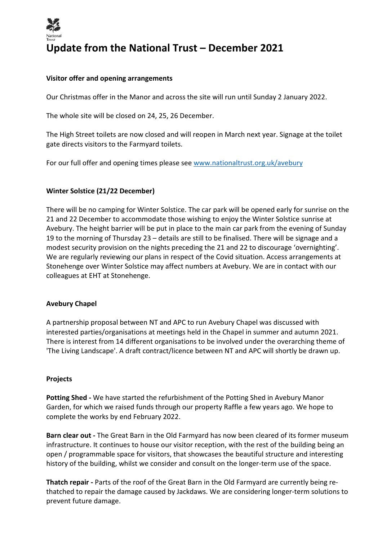

# **Update from the National Trust – December 2021**

## **Visitor offer and opening arrangements**

Our Christmas offer in the Manor and across the site will run until Sunday 2 January 2022.

The whole site will be closed on 24, 25, 26 December.

The High Street toilets are now closed and will reopen in March next year. Signage at the toilet gate directs visitors to the Farmyard toilets.

For our full offer and opening times please see www.nationaltrust.org.uk/avebury

#### **Winter Solstice (21/22 December)**

There will be no camping for Winter Solstice. The car park will be opened early for sunrise on the 21 and 22 December to accommodate those wishing to enjoy the Winter Solstice sunrise at Avebury. The height barrier will be put in place to the main car park from the evening of Sunday 19 to the morning of Thursday 23 – details are still to be finalised. There will be signage and a modest security provision on the nights preceding the 21 and 22 to discourage 'overnighting'. We are regularly reviewing our plans in respect of the Covid situation. Access arrangements at Stonehenge over Winter Solstice may affect numbers at Avebury. We are in contact with our colleagues at EHT at Stonehenge.

#### **Avebury Chapel**

A partnership proposal between NT and APC to run Avebury Chapel was discussed with interested parties/organisations at meetings held in the Chapel in summer and autumn 2021. There is interest from 14 different organisations to be involved under the overarching theme of 'The Living Landscape'. A draft contract/licence between NT and APC will shortly be drawn up.

#### **Projects**

**Potting Shed -** We have started the refurbishment of the Potting Shed in Avebury Manor Garden, for which we raised funds through our property Raffle a few years ago. We hope to complete the works by end February 2022.

**Barn clear out -** The Great Barn in the Old Farmyard has now been cleared of its former museum infrastructure. It continues to house our visitor reception, with the rest of the building being an open / programmable space for visitors, that showcases the beautiful structure and interesting history of the building, whilst we consider and consult on the longer-term use of the space.

**Thatch repair -** Parts of the roof of the Great Barn in the Old Farmyard are currently being rethatched to repair the damage caused by Jackdaws. We are considering longer-term solutions to prevent future damage.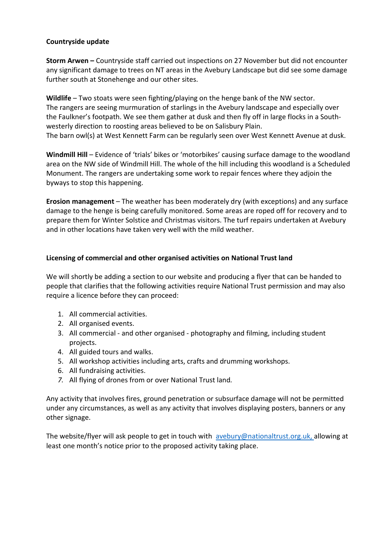# **Countryside update**

**Storm Arwen –** Countryside staff carried out inspections on 27 November but did not encounter any significant damage to trees on NT areas in the Avebury Landscape but did see some damage further south at Stonehenge and our other sites.

**Wildlife** – Two stoats were seen fighting/playing on the henge bank of the NW sector. The rangers are seeing murmuration of starlings in the Avebury landscape and especially over the Faulkner's footpath. We see them gather at dusk and then fly off in large flocks in a Southwesterly direction to roosting areas believed to be on Salisbury Plain. The barn owl(s) at West Kennett Farm can be regularly seen over West Kennett Avenue at dusk.

**Windmill Hill** – Evidence of 'trials' bikes or 'motorbikes' causing surface damage to the woodland area on the NW side of Windmill Hill. The whole of the hill including this woodland is a Scheduled Monument. The rangers are undertaking some work to repair fences where they adjoin the byways to stop this happening.

**Erosion management** – The weather has been moderately dry (with exceptions) and any surface damage to the henge is being carefully monitored. Some areas are roped off for recovery and to prepare them for Winter Solstice and Christmas visitors. The turf repairs undertaken at Avebury and in other locations have taken very well with the mild weather.

## **Licensing of commercial and other organised activities on National Trust land**

We will shortly be adding a section to our website and producing a flyer that can be handed to people that clarifies that the following activities require National Trust permission and may also require a licence before they can proceed:

- 1. All commercial activities.
- 2. All organised events.
- 3. All commercial and other organised photography and filming, including student projects.
- 4. All guided tours and walks.
- 5. All workshop activities including arts, crafts and drumming workshops.
- 6. All fundraising activities.
- *7.* All flying of drones from or over National Trust land*.*

Any activity that involves fires, ground penetration or subsurface damage will not be permitted under any circumstances, as well as any activity that involves displaying posters, banners or any other signage.

The website/flyer will ask people to get in touch with avebury@nationaltrust.org.uk, allowing at least one month's notice prior to the proposed activity taking place.